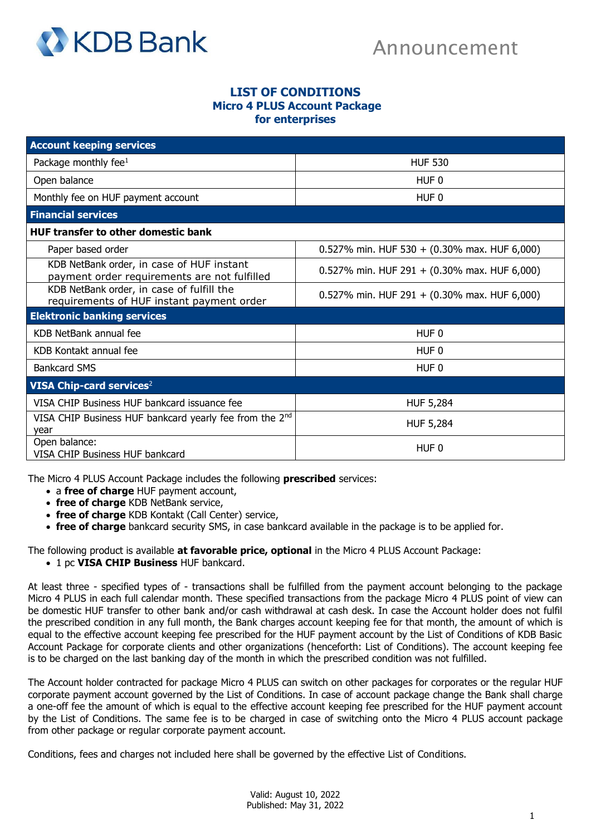

## **LIST OF CONDITIONS Micro 4 PLUS Account Package for enterprises**

| <b>Account keeping services</b>                                                           |                                              |
|-------------------------------------------------------------------------------------------|----------------------------------------------|
| Package monthly fee $1$                                                                   | <b>HUF 530</b>                               |
| Open balance                                                                              | HUF 0                                        |
| Monthly fee on HUF payment account                                                        | HUF <sub>0</sub>                             |
| <b>Financial services</b>                                                                 |                                              |
| <b>HUF transfer to other domestic bank</b>                                                |                                              |
| Paper based order                                                                         | 0.527% min. HUF 530 + (0.30% max. HUF 6,000) |
| KDB NetBank order, in case of HUF instant<br>payment order requirements are not fulfilled | 0.527% min. HUF 291 + (0.30% max. HUF 6,000) |
| KDB NetBank order, in case of fulfill the<br>requirements of HUF instant payment order    | 0.527% min. HUF 291 + (0.30% max. HUF 6,000) |
| <b>Elektronic banking services</b>                                                        |                                              |
| KDB NetBank annual fee                                                                    | HUF <sub>0</sub>                             |
| KDB Kontakt annual fee                                                                    | HUF <sub>0</sub>                             |
| <b>Bankcard SMS</b>                                                                       | HUF <sub>0</sub>                             |
| <b>VISA Chip-card services<sup>2</sup></b>                                                |                                              |
| VISA CHIP Business HUF bankcard issuance fee                                              | <b>HUF 5,284</b>                             |
| VISA CHIP Business HUF bankcard yearly fee from the 2 <sup>nd</sup><br>year               | <b>HUF 5,284</b>                             |
| Open balance:<br>VISA CHIP Business HUF bankcard                                          | HUF <sub>0</sub>                             |

The Micro 4 PLUS Account Package includes the following **prescribed** services:

- a **free of charge** HUF payment account,
- **free of charge** KDB NetBank service,
- **free of charge** KDB Kontakt (Call Center) service,
- **free of charge** bankcard security SMS, in case bankcard available in the package is to be applied for.

The following product is available **at favorable price, optional** in the Micro 4 PLUS Account Package:

• 1 pc **VISA CHIP Business** HUF bankcard.

At least three - specified types of - transactions shall be fulfilled from the payment account belonging to the package Micro 4 PLUS in each full calendar month. These specified transactions from the package Micro 4 PLUS point of view can be domestic HUF transfer to other bank and/or cash withdrawal at cash desk. In case the Account holder does not fulfil the prescribed condition in any full month, the Bank charges account keeping fee for that month, the amount of which is equal to the effective account keeping fee prescribed for the HUF payment account by the List of Conditions of KDB Basic Account Package for corporate clients and other organizations (henceforth: List of Conditions). The account keeping fee is to be charged on the last banking day of the month in which the prescribed condition was not fulfilled.

The Account holder contracted for package Micro 4 PLUS can switch on other packages for corporates or the regular HUF corporate payment account governed by the List of Conditions. In case of account package change the Bank shall charge a one-off fee the amount of which is equal to the effective account keeping fee prescribed for the HUF payment account by the List of Conditions. The same fee is to be charged in case of switching onto the Micro 4 PLUS account package from other package or regular corporate payment account.

Conditions, fees and charges not included here shall be governed by the effective List of Conditions.